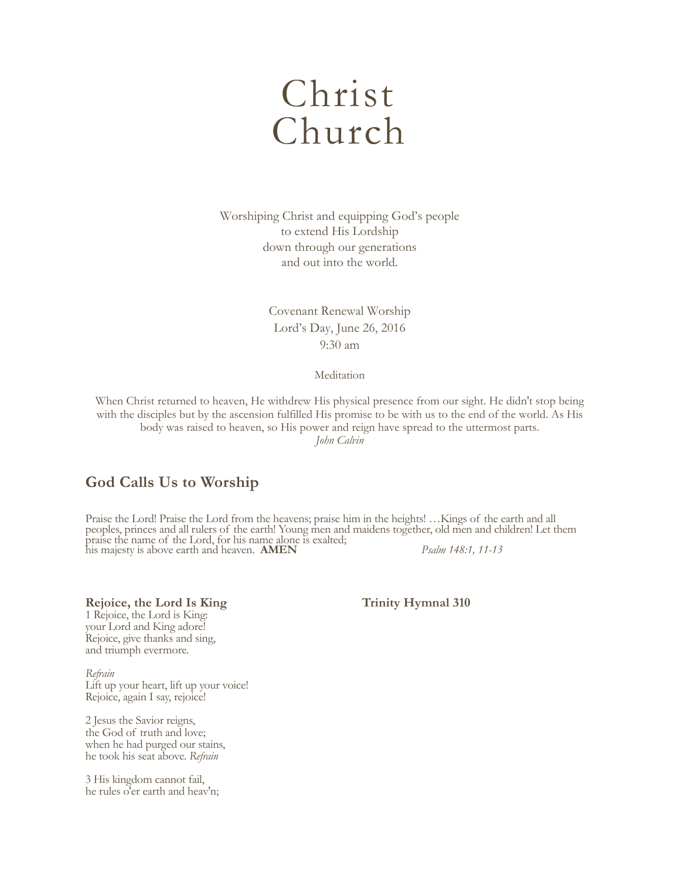# Christ Church

Worshiping Christ and equipping God's people to extend His Lordship down through our generations and out into the world.

> Covenant Renewal Worship Lord's Day, June 26, 2016 9:30 am

> > Meditation

When Christ returned to heaven, He withdrew His physical presence from our sight. He didn't stop being with the disciples but by the ascension fulfilled His promise to be with us to the end of the world. As His body was raised to heaven, so His power and reign have spread to the uttermost parts. *John Calvin*

# **God Calls Us to Worship**

Praise the Lord! Praise the Lord from the heavens; praise him in the heights! …Kings of the earth and all peoples, princes and all rulers of the earth! Young men and maidens together, old men and children! Let them praise the name of the Lord, for his name alone is exalted; his majesty is above earth and heaven. **AMEN** *Psalm 148:1, 11-13*

**Rejoice, the Lord Is King Trinity Hymnal 310** 

1 Rejoice, the Lord is King: your Lord and King adore! Rejoice, give thanks and sing, and triumph evermore.

*Refrain* Lift up your heart, lift up your voice! Rejoice, again I say, rejoice!

2 Jesus the Savior reigns, the God of truth and love; when he had purged our stains, he took his seat above. *Refrain*

3 His kingdom cannot fail, he rules o'er earth and heav'n;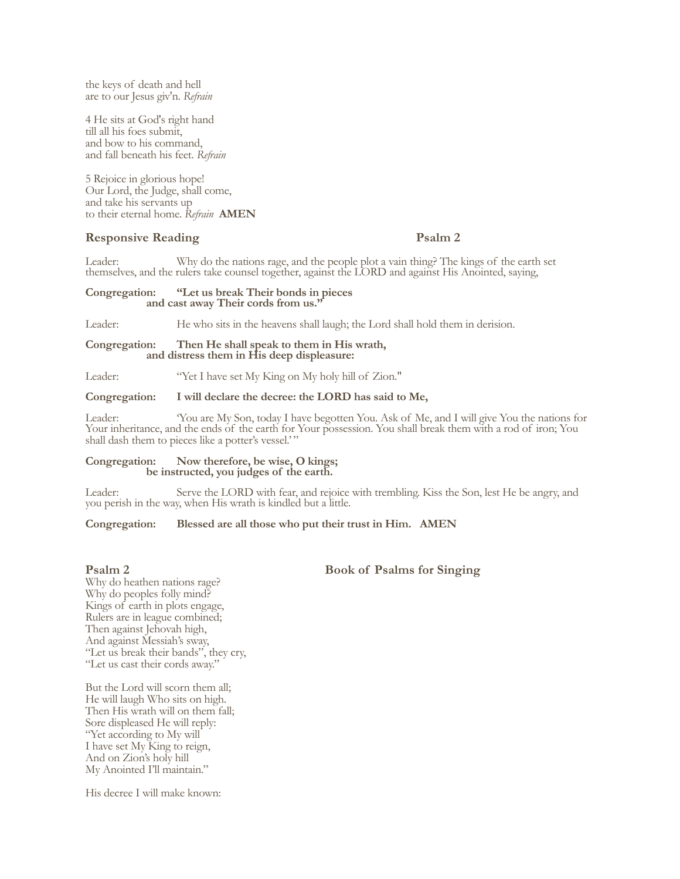the keys of death and hell are to our Jesus giv'n. *Refrain*

4 He sits at God's right hand till all his foes submit, and bow to his command, and fall beneath his feet. *Refrain*

5 Rejoice in glorious hope! Our Lord, the Judge, shall come, and take his servants up to their eternal home. *Refrain* **AMEN**

# **Responsive Reading Psalm 2**

Leader: Why do the nations rage, and the people plot a vain thing? The kings of the earth set themselves, and the rulers take counsel together, against the LORD and against His Anointed, saying,

# **Congregation: "Let us break Their bonds in pieces and cast away Their cords from us."**

Leader: He who sits in the heavens shall laugh; the Lord shall hold them in derision.

# **Congregation: Then He shall speak to them in His wrath, and distress them in His deep displeasure:**

Leader: "Yet I have set My King on My holy hill of Zion."

### **Congregation: I will declare the decree: the LORD has said to Me,**

Leader: 'You are My Son, today I have begotten You. Ask of Me, and I will give You the nations for Your inheritance, and the ends of the earth for Your possession. You shall break them with a rod of iron; You shall dash them to pieces like a potter's vessel.'"

# **Congregation: Now therefore, be wise, O kings; be instructed, you judges of the earth.**

Leader: Serve the LORD with fear, and rejoice with trembling. Kiss the Son, lest He be angry, and you perish in the way, when His wrath is kindled but a little.

# **Congregation: Blessed are all those who put their trust in Him. AMEN**

Why do heathen nations rage? Why do peoples folly mind? Kings of earth in plots engage, Rulers are in league combined; Then against Jehovah high, And against Messiah's sway, "Let us break their bands", they cry, "Let us cast their cords away."

But the Lord will scorn them all; He will laugh Who sits on high. Then His wrath will on them fall; Sore displeased He will reply: "Yet according to My will I have set My King to reign, And on Zion's holy hill My Anointed I'll maintain."

His decree I will make known:

# **Psalm 2** Book of Psalms for Singing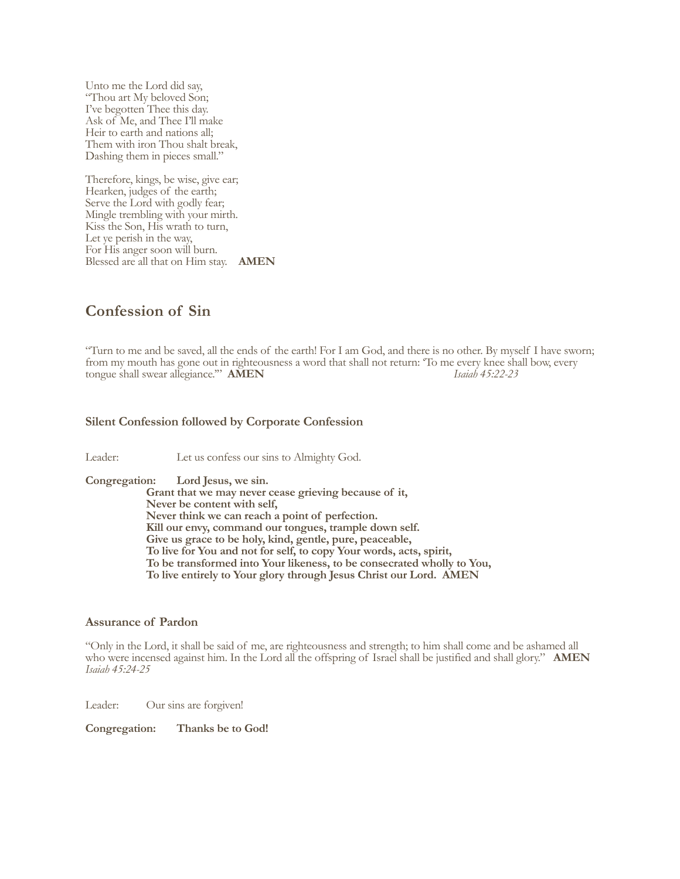Unto me the Lord did say, "Thou art My beloved Son; I've begotten Thee this day. Ask of Me, and Thee I'll make Heir to earth and nations all; Them with iron Thou shalt break, Dashing them in pieces small."

Therefore, kings, be wise, give ear; Hearken, judges of the earth; Serve the Lord with godly fear; Mingle trembling with your mirth. Kiss the Son, His wrath to turn, Let ye perish in the way, For His anger soon will burn. Blessed are all that on Him stay. **AMEN**

# **Confession of Sin**

"Turn to me and be saved, all the ends of the earth! For I am God, and there is no other. By myself I have sworn; from my mouth has gone out in righteousness a word that shall not return: 'To me every knee shall bow, every tongue shall swear allegiance.'' **AMEN** tongue shall swear allegiance." **AMEN** 

# **Silent Confession followed by Corporate Confession**

Leader: Let us confess our sins to Almighty God.

**Congregation: Lord Jesus, we sin.**

**Grant that we may never cease grieving because of it, Never be content with self, Never think we can reach a point of perfection. Kill our envy, command our tongues, trample down self. Give us grace to be holy, kind, gentle, pure, peaceable, To live for You and not for self, to copy Your words, acts, spirit, To be transformed into Your likeness, to be consecrated wholly to You, To live entirely to Your glory through Jesus Christ our Lord. AMEN**

# **Assurance of Pardon**

"Only in the Lord, it shall be said of me, are righteousness and strength; to him shall come and be ashamed all who were incensed against him. In the Lord all the offspring of Israel shall be justified and shall glory." **AMEN** *Isaiah 45:24-25*

Leader: Our sins are forgiven!

**Congregation: Thanks be to God!**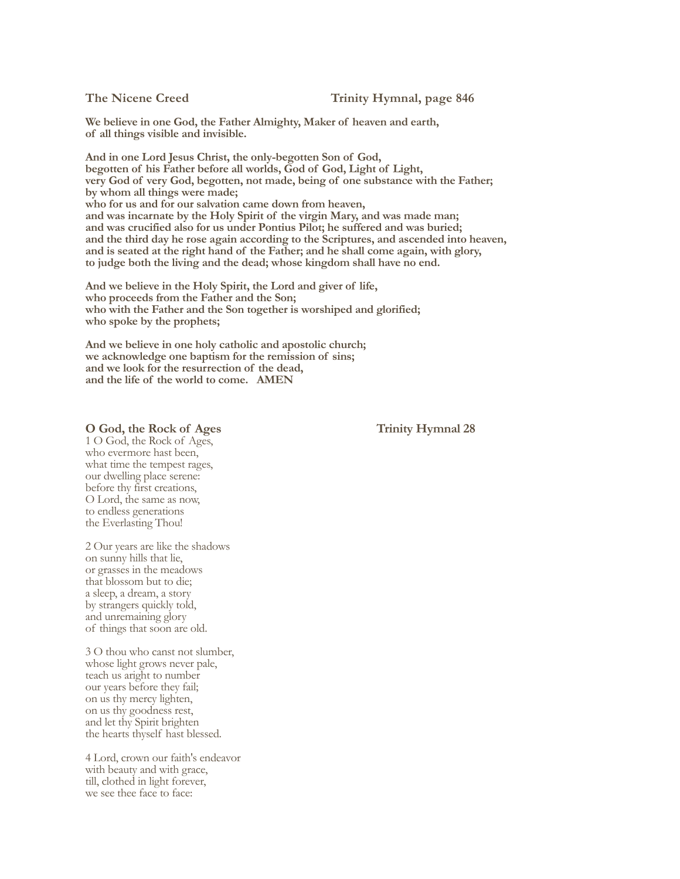**We believe in one God, the Father Almighty, Maker of heaven and earth, of all things visible and invisible.**

**And in one Lord Jesus Christ, the only-begotten Son of God, begotten of his Father before all worlds, God of God, Light of Light, very God of very God, begotten, not made, being of one substance with the Father; by whom all things were made; who for us and for our salvation came down from heaven, and was incarnate by the Holy Spirit of the virgin Mary, and was made man; and was crucified also for us under Pontius Pilot; he suffered and was buried; and the third day he rose again according to the Scriptures, and ascended into heaven, and is seated at the right hand of the Father; and he shall come again, with glory, to judge both the living and the dead; whose kingdom shall have no end.**

**And we believe in the Holy Spirit, the Lord and giver of life, who proceeds from the Father and the Son; who with the Father and the Son together is worshiped and glorified; who spoke by the prophets;**

**And we believe in one holy catholic and apostolic church; we acknowledge one baptism for the remission of sins; and we look for the resurrection of the dead, and the life of the world to come. AMEN**

### **O God, the Rock of Ages Trinity Hymnal 28**

1 O God, the Rock of Ages, who evermore hast been, what time the tempest rages, our dwelling place serene: before thy first creations, O Lord, the same as now, to endless generations the Everlasting Thou!

2 Our years are like the shadows on sunny hills that lie, or grasses in the meadows that blossom but to die; a sleep, a dream, a story by strangers quickly told, and unremaining glory of things that soon are old.

3 O thou who canst not slumber, whose light grows never pale, teach us aright to number our years before they fail; on us thy mercy lighten, on us thy goodness rest, and let thy Spirit brighten the hearts thyself hast blessed.

4 Lord, crown our faith's endeavor with beauty and with grace, till, clothed in light forever, we see thee face to face: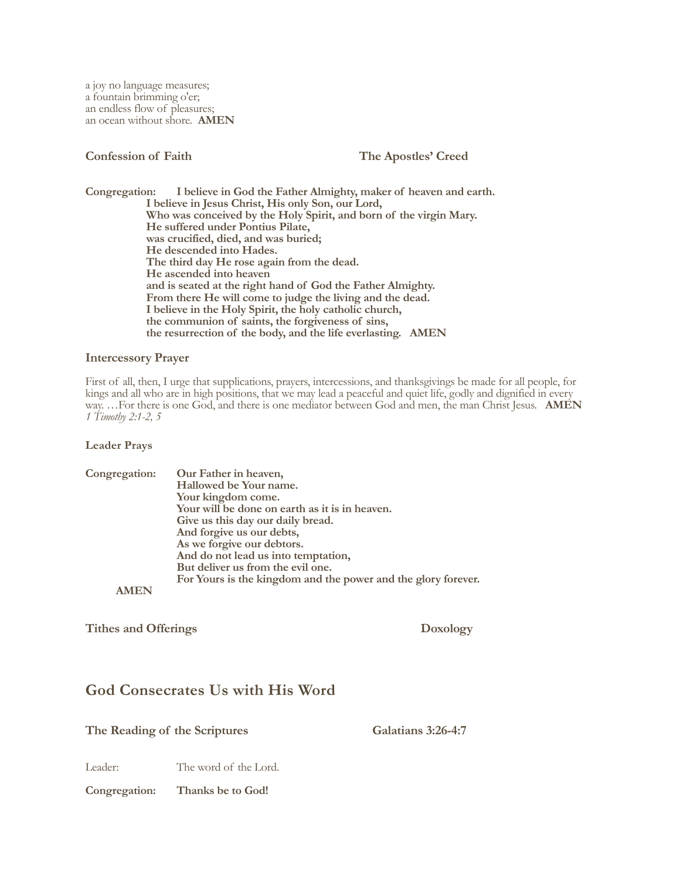# **Confession of Faith The Apostles' Creed**

**Congregation: I believe in God the Father Almighty, maker of heaven and earth. I believe in Jesus Christ, His only Son, our Lord, Who was conceived by the Holy Spirit, and born of the virgin Mary. He suffered under Pontius Pilate, was crucified, died, and was buried; He descended into Hades. The third day He rose again from the dead. He ascended into heaven and is seated at the right hand of God the Father Almighty. From there He will come to judge the living and the dead. I believe in the Holy Spirit, the holy catholic church, the communion of saints, the forgiveness of sins, the resurrection of the body, and the life everlasting. AMEN**

# **Intercessory Prayer**

First of all, then, I urge that supplications, prayers, intercessions, and thanksgivings be made for all people, for kings and all who are in high positions, that we may lead a peaceful and quiet life, godly and dignified in every way. …For there is one God, and there is one mediator between God and men, the man Christ Jesus. **AMEN** *1 Timothy 2:1-2, 5* 

# **Leader Prays**

| Congregation: | Our Father in heaven,                                         |
|---------------|---------------------------------------------------------------|
|               | Hallowed be Your name.                                        |
|               | Your kingdom come.                                            |
|               | Your will be done on earth as it is in heaven.                |
|               | Give us this day our daily bread.                             |
|               | And forgive us our debts,                                     |
|               | As we forgive our debtors.                                    |
|               | And do not lead us into temptation,                           |
|               | But deliver us from the evil one.                             |
|               | For Yours is the kingdom and the power and the glory forever. |
|               |                                                               |

Tithes and Offerings **Doxology** 

# **God Consecrates Us with His Word**

The Reading of the Scriptures Galatians 3:26-4:7

Leader: The word of the Lord.

**Congregation: Thanks be to God!**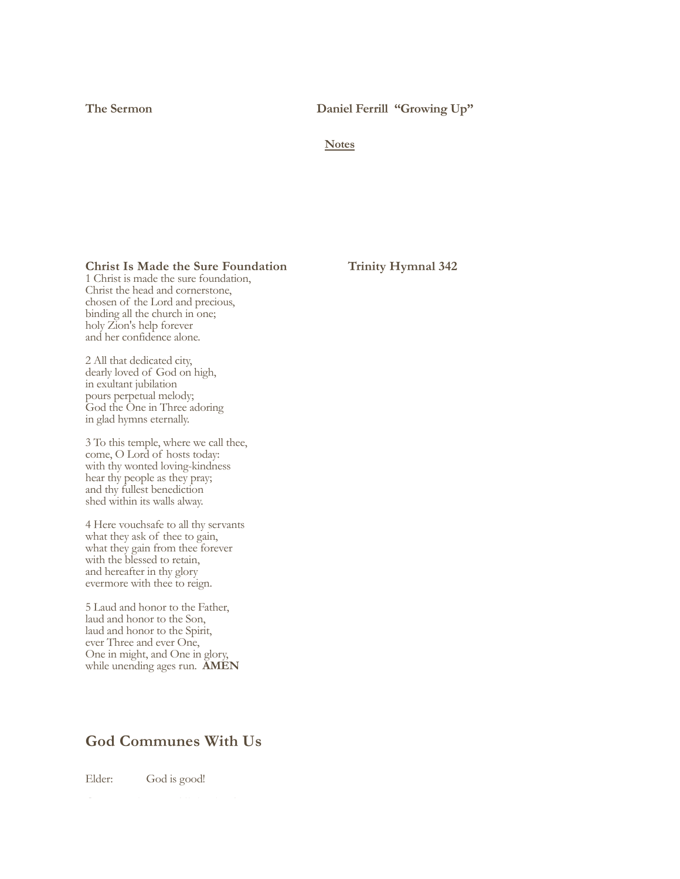**The Sermon Daniel Ferrill "Growing Up"**

**Notes**

# **Christ Is Made the Sure Foundation Trinity Hymnal 342**

1 Christ is made the sure foundation, Christ the head and cornerstone, chosen of the Lord and precious, binding all the church in one; holy Zion's help forever and her confidence alone.

2 All that dedicated city, dearly loved of God on high, in exultant jubilation pours perpetual melody; God the One in Three adoring in glad hymns eternally.

3 To this temple, where we call thee, come, O Lord of hosts today: with thy wonted loving-kindness hear thy people as they pray; and thy fullest benediction shed within its walls alway.

4 Here vouchsafe to all thy servants what they ask of thee to gain, what they gain from thee forever with the blessed to retain, and hereafter in thy glory evermore with thee to reign.

5 Laud and honor to the Father, laud and honor to the Son, laud and honor to the Spirit, ever Three and ever One, One in might, and One in glory, while unending ages run.**AMEN**

# **God Communes With Us**

Elder: God is good!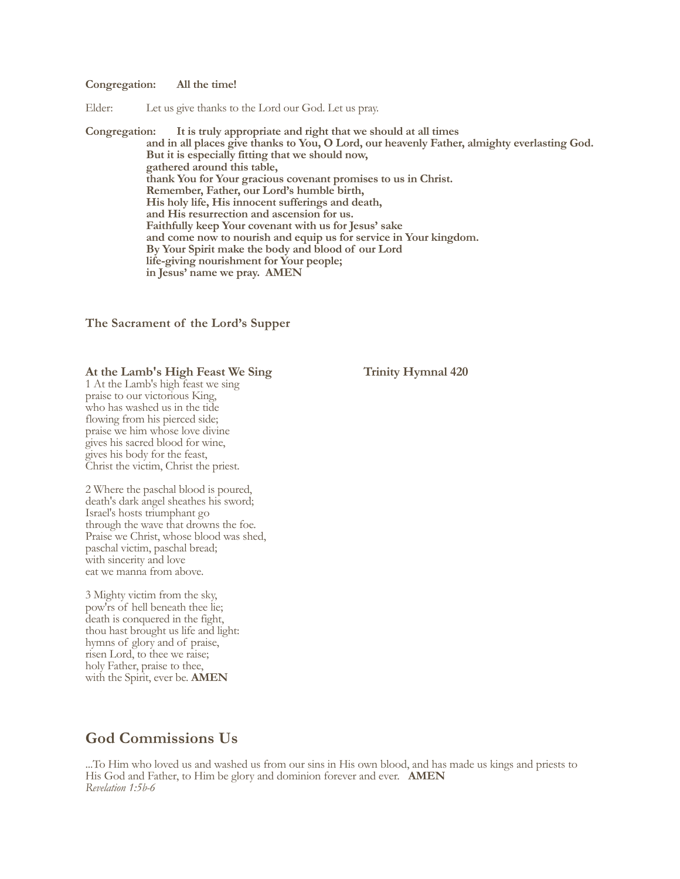### **Congregation: All the time!**

Elder: Let us give thanks to the Lord our God. Let us pray.

**Congregation: It is truly appropriate and right that we should at all times and in all places give thanks to You, O Lord, our heavenly Father, almighty everlasting God. But it is especially fitting that we should now, gathered around this table, thank You for Your gracious covenant promises to us in Christ. Remember, Father, our Lord's humble birth, His holy life, His innocent sufferings and death, and His resurrection and ascension for us. Faithfully keep Your covenant with us for Jesus' sake and come now to nourish and equip us for service in Your kingdom. By Your Spirit make the body and blood of our Lord life-giving nourishment for Your people; in Jesus' name we pray. AMEN**

**The Sacrament of the Lord's Supper**

# At the Lamb's High Feast We Sing Trinity Hymnal 420

1 At the Lamb's high feast we sing praise to our victorious King, who has washed us in the tide flowing from his pierced side; praise we him whose love divine gives his sacred blood for wine, gives his body for the feast, Christ the victim, Christ the priest.

2 Where the paschal blood is poured, death's dark angel sheathes his sword; Israel's hosts triumphant go through the wave that drowns the foe. Praise we Christ, whose blood was shed, paschal victim, paschal bread; with sincerity and love eat we manna from above.

3 Mighty victim from the sky, pow'rs of hell beneath thee lie; death is conquered in the fight, thou hast brought us life and light: hymns of glory and of praise, risen Lord, to thee we raise; holy Father, praise to thee, with the Spirit, ever be. **AMEN**

# **God Commissions Us**

...To Him who loved us and washed us from our sins in His own blood, and has made us kings and priests to His God and Father, to Him be glory and dominion forever and ever. **AMEN**  *Revelation 1:5b-6*